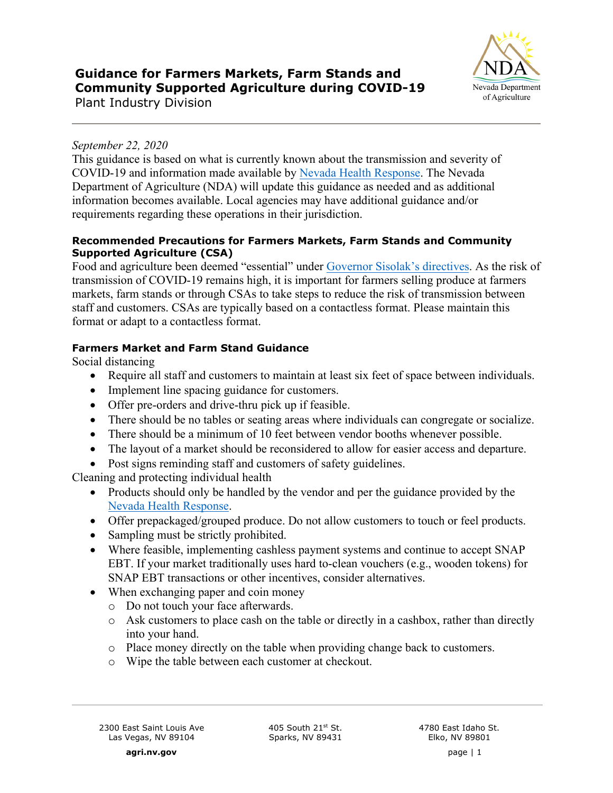# **Guidance for Farmers Markets, Farm Stands and Community Supported Agriculture during COVID-19**



Plant Industry Division

## *September 22, 2020*

This guidance is based on what is currently known about the transmission and severity of COVID-19 and information made available b[y Nevada Health Response.](https://nvhealthresponse.nv.gov/) The Nevada Department of Agriculture (NDA) will update this guidance as needed and as additional information becomes available. Local agencies may have additional guidance and/or requirements regarding these operations in their jurisdiction.

#### **Recommended Precautions for Farmers Markets, Farm Stands and Community Supported Agriculture (CSA)**

Food and agriculture been deemed "essential" under [Governor Sisolak's directives.](https://nvhealthresponse.nv.gov/wp-content/uploads/2020/04/Directive-009.pdf) As the risk of transmission of COVID-19 remains high, it is important for farmers selling produce at farmers markets, farm stands or through CSAs to take steps to reduce the risk of transmission between staff and customers. CSAs are typically based on a contactless format. Please maintain this format or adapt to a contactless format.

## **Farmers Market and Farm Stand Guidance**

Social distancing

- Require all staff and customers to maintain at least six feet of space between individuals.
- Implement line spacing guidance for customers.
- Offer pre-orders and drive-thru pick up if feasible.
- There should be no tables or seating areas where individuals can congregate or socialize.
- There should be a minimum of 10 feet between vendor booths whenever possible.
- The layout of a market should be reconsidered to allow for easier access and departure.
- Post signs reminding staff and customers of safety guidelines.

Cleaning and protecting individual health

- Products should only be handled by the vendor and per the guidance provided by the Nevada Health Response.
- Offer prepackaged/grouped produce. Do not allow customers to touch or feel products.
- [Sampling must be strictly](https://nvhealthresponse.nv.gov/) prohibited.
- Where feasible, implementing cashless payment systems and continue to accept SNAP EBT. If your market traditionally uses hard to-clean vouchers (e.g., wooden tokens) for SNAP EBT transactions or other incentives, consider alternatives.
- When exchanging paper and coin money
	- o Do not touch your face afterwards.
	- o Ask customers to place cash on the table or directly in a cashbox, rather than directly into your hand.
	- o Place money directly on the table when providing change back to customers.
	- o Wipe the table between each customer at checkout.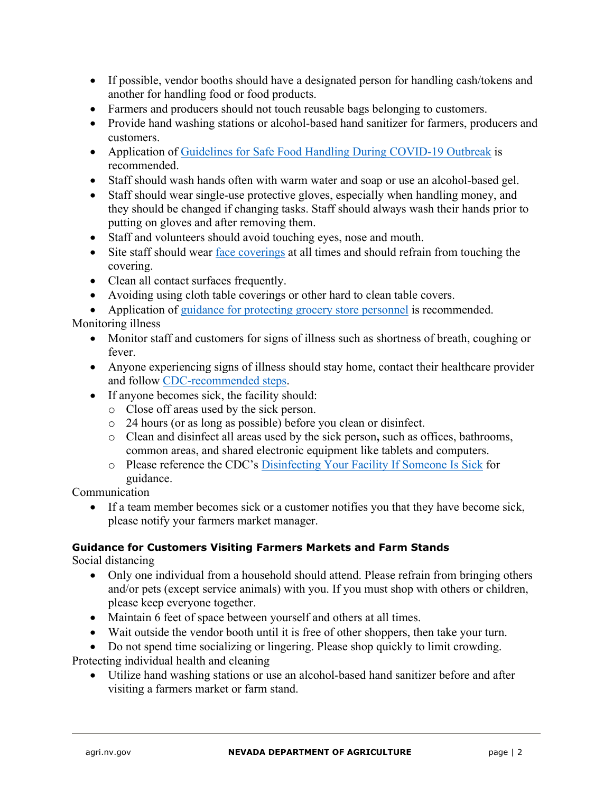- If possible, vendor booths should have a designated person for handling cash/tokens and another for handling food or food products.
- Farmers and producers should not touch reusable bags belonging to customers.
- Provide hand washing stations or alcohol-based hand sanitizer for farmers, producers and customers.
- Application of [Guidelines for Safe Food Handling During COVID-19 Outbreak](https://media.southernnevadahealthdistrict.org/download/ferl/updates/20200323/20200324-SNHD-Safe-Food-Handling-During-COVID-19.pdf) is recommended.
- Staff should wash hands often with warm water and soap or use an alcohol-based gel.
- Staff should wear single-use protective gloves, especially when handling money, and they should be changed if changing tasks. Staff should always wash their hands prior to putting on gloves and after removing them.
- Staff and volunteers should avoid touching eyes, nose and mouth.
- Site staff should wear [face coverings](https://nvhealthresponse.nv.gov/wp-content/uploads/2020/04/04.03-Guidance-on-Improvised-Facial-Coverings.pdf) at all times and should refrain from touching the covering.
- Clean all contact surfaces frequently.
- Avoiding using cloth table coverings or other hard to clean table covers.
- Application of [guidance for protecting grocery store personnel](https://nvhealthresponse.nv.gov/wp-content/uploads/2020/04/Grocery-Store-Guidance.pdf) is recommended.

## Monitoring illness

- Monitor staff and customers for signs of illness such as shortness of breath, coughing or fever.
- Anyone experiencing signs of illness should stay home, contact their healthcare provider and follow [CDC-recommended steps.](https://www.cdc.gov/coronavirus/2019-ncov/if-you-are-sick/steps-when-sick.html?CDC_AA_refVal=https%3A%2F%2Fwww.cdc.gov%2Fcoronavirus%2F2019-ncov%2Fabout%2Fsteps-when-sick.html)
- If anyone becomes sick, the facility should:
	- o Close off areas used by the sick person.
	- o 24 hours (or as long as possible) before you clean or disinfect.
	- o Clean and disinfect all areas used by the sick person**,** such as offices, bathrooms, common areas, and shared electronic equipment like tablets and computers.
	- o Please reference the CDC's [Disinfecting Your Facility If Someone Is Sick](https://www.cdc.gov/coronavirus/2019-ncov/prepare/disinfecting-building-facility.html) for guidance.

Communication

• If a team member becomes sick or a customer notifies you that they have become sick, please notify your farmers market manager.

#### **Guidance for Customers Visiting Farmers Markets and Farm Stands**

Social distancing

- Only one individual from a household should attend. Please refrain from bringing others and/or pets (except service animals) with you. If you must shop with others or children, please keep everyone together.
- Maintain 6 feet of space between yourself and others at all times.
- Wait outside the vendor booth until it is free of other shoppers, then take your turn.
- Do not spend time socializing or lingering. Please shop quickly to limit crowding.

Protecting individual health and cleaning

• Utilize hand washing stations or use an alcohol-based hand sanitizer before and after visiting a farmers market or farm stand.